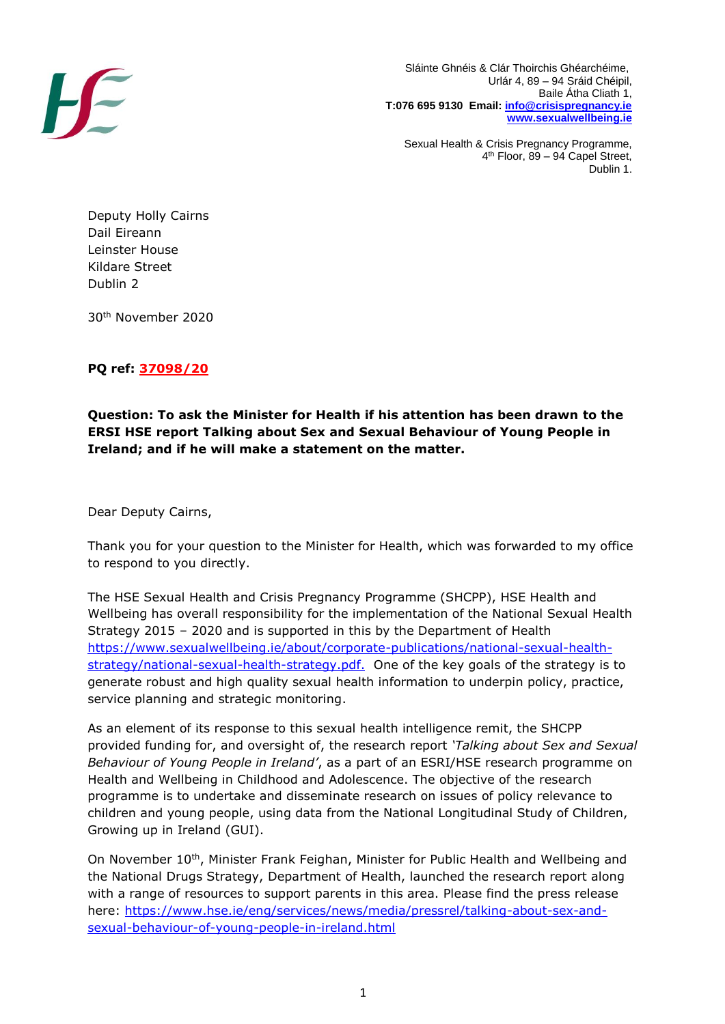

 Sláinte Ghnéis & Clár Thoirchis Ghéarchéime, Urlár 4, 89 – 94 Sráid Chéipil, Baile Átha Cliath 1, **T:076 695 9130 Email: [info@crisispregnancy.ie](mailto:info@crisispregnancy.ie) [www.sexualwellbeing.ie](http://www.sexualwellbeing.ie/)**

Sexual Health & Crisis Pregnancy Programme, 4 th Floor, 89 – 94 Capel Street, Dublin 1.

Deputy Holly Cairns Dail Eireann Leinster House Kildare Street Dublin 2

30th November 2020

## **PQ ref: 37098/20**

## **Question: To ask the Minister for Health if his attention has been drawn to the ERSI HSE report Talking about Sex and Sexual Behaviour of Young People in Ireland; and if he will make a statement on the matter.**

Dear Deputy Cairns,

Thank you for your question to the Minister for Health, which was forwarded to my office to respond to you directly.

The HSE Sexual Health and Crisis Pregnancy Programme (SHCPP), HSE Health and Wellbeing has overall responsibility for the implementation of the National Sexual Health Strategy 2015 – 2020 and is supported in this by the Department of Health [https://www.sexualwellbeing.ie/about/corporate-publications/national-sexual-health](https://www.sexualwellbeing.ie/about/corporate-publications/national-sexual-health-strategy/national-sexual-health-strategy.pdf)[strategy/national-sexual-health-strategy.pdf.](https://www.sexualwellbeing.ie/about/corporate-publications/national-sexual-health-strategy/national-sexual-health-strategy.pdf) One of the key goals of the strategy is to generate robust and high quality sexual health information to underpin policy, practice, service planning and strategic monitoring.

As an element of its response to this sexual health intelligence remit, the SHCPP provided funding for, and oversight of, the research report *'Talking about Sex and Sexual Behaviour of Young People in Ireland'*, as a part of an ESRI/HSE research programme on Health and Wellbeing in Childhood and Adolescence. The objective of the research programme is to undertake and disseminate research on issues of policy relevance to children and young people, using data from the National Longitudinal Study of Children, Growing up in Ireland (GUI).

On November 10<sup>th</sup>, Minister Frank Feighan, Minister for Public Health and Wellbeing and the National Drugs Strategy, Department of Health, launched the research report along with a range of resources to support parents in this area. Please find the press release here: [https://www.hse.ie/eng/services/news/media/pressrel/talking-about-sex-and](https://www.hse.ie/eng/services/news/media/pressrel/talking-about-sex-and-sexual-behaviour-of-young-people-in-ireland.html)[sexual-behaviour-of-young-people-in-ireland.html](https://www.hse.ie/eng/services/news/media/pressrel/talking-about-sex-and-sexual-behaviour-of-young-people-in-ireland.html)